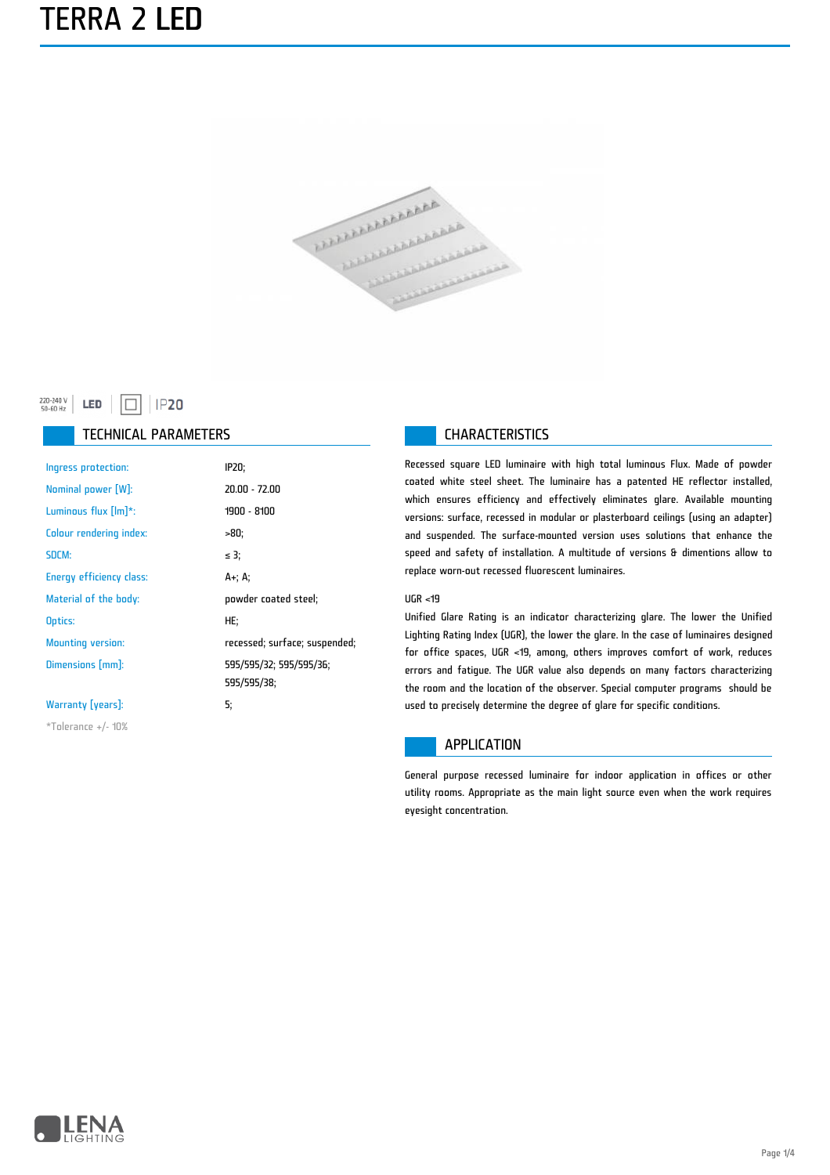### TERRA 2 LED



#### 220-240 V<br>50-60 Hz LED  $\Box$  IP20

#### TECHNICAL PARAMETERS **CHARACTERISTICS**

| Ingress protection:      | IP20;                                  |
|--------------------------|----------------------------------------|
| Nominal power [W]:       | $20.00 - 72.00$                        |
| Luminous flux $[Im]$ *:  | 1900 - 8100                            |
| Colour rendering index:  | -80;                                   |
| SDCM:                    | ≤ 3;                                   |
| Energy efficiency class: | A+, A,                                 |
| Material of the body:    | powder coated steel;                   |
| Optics:                  | HE:                                    |
| <b>Mounting version:</b> | recessed; surface; suspended;          |
| Dimensions [mm]:         | 595/595/32; 595/595/36;<br>595/595/38; |
| Warranty [years]:        | 5:                                     |
| $*$ Tolerance +/- 10%    |                                        |

Recessed square LED luminaire with high total luminous Flux. Made of powder coated white steel sheet. The luminaire has a patented HE reflector installed, which ensures efficiency and effectively eliminates glare. Available mounting versions: surface, recessed in modular or plasterboard ceilings (using an adapter) and suspended. The surface-mounted version uses solutions that enhance the speed and safety of installation. A multitude of versions & dimentions allow to replace worn-out recessed fluorescent luminaires.

#### UGR <19

Unified Glare Rating is an indicator characterizing glare. The lower the Unified Lighting Rating Index (UGR), the lower the glare. In the case of luminaires designed for office spaces, UGR <19, among, others improves comfort of work, reduces errors and fatigue. The UGR value also depends on many factors characterizing the room and the location of the observer. Special computer programs should be used to precisely determine the degree of glare for specific conditions.

#### APPLICATION

General purpose recessed luminaire for indoor application in offices or other utility rooms. Appropriate as the main light source even when the work requires eyesight concentration.

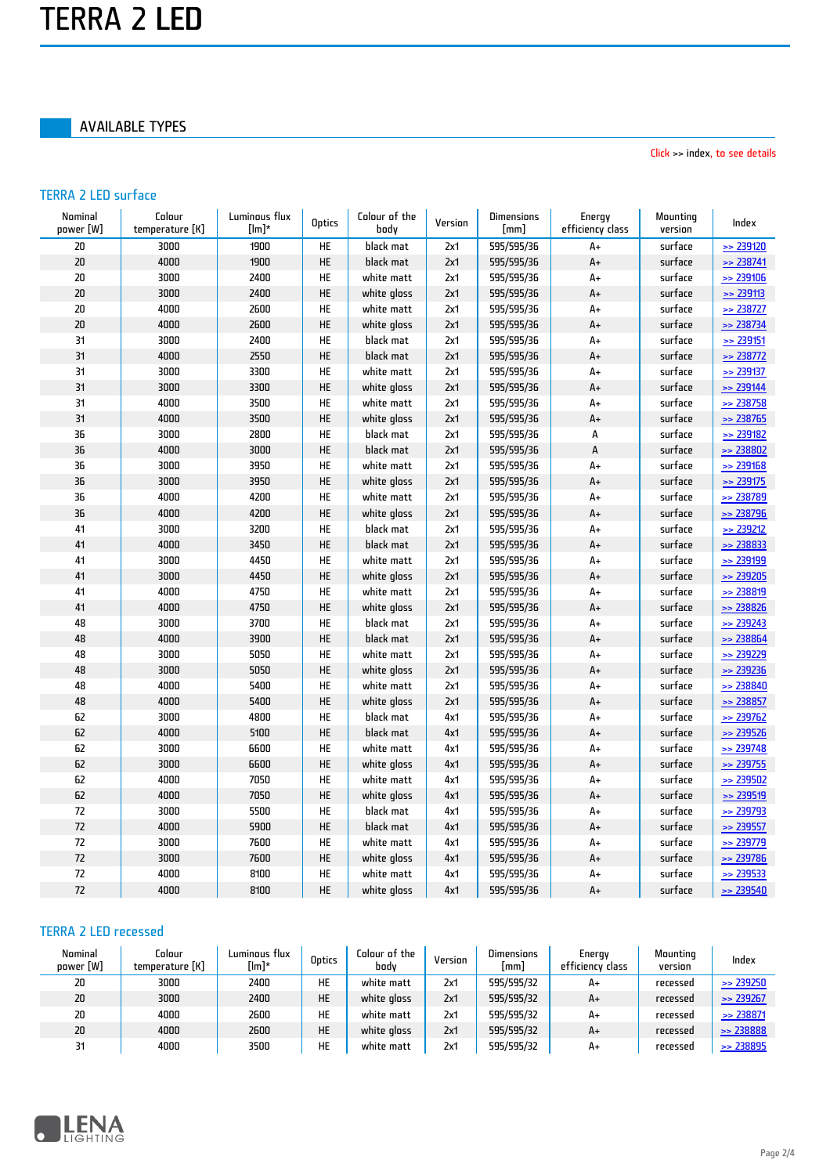#### AVAILABLE TYPES

Click >> index, to see details

#### TERRA 2 LED surface

| Nominal<br>power [W] | Colour<br>temperature [K] | Luminous flux<br>$[lm]^*$ | <b>Optics</b> | Colour of the<br>body | Version | Dimensions<br>[mm] | Energy<br>efficiency class | Mounting<br>version | Index         |
|----------------------|---------------------------|---------------------------|---------------|-----------------------|---------|--------------------|----------------------------|---------------------|---------------|
| 20                   | 3000                      | 1900                      | <b>HE</b>     | black mat             | 2x1     | 595/595/36         | A+                         | surface             | $\geq$ 239120 |
| 20                   | 4000                      | 1900                      | HE            | black mat             | 2x1     | 595/595/36         | $A+$                       | surface             | $\geq$ 238741 |
| 20                   | 3000                      | 2400                      | HE            | white matt            | 2x1     | 595/595/36         | A+                         | surface             | >> 239106     |
| 20                   | 3000                      | 2400                      | HE            | white gloss           | 2x1     | 595/595/36         | A+                         | surface             | $\ge 239113$  |
| 20                   | 4000                      | 2600                      | HE            | white matt            | 2x1     | 595/595/36         | A+                         | surface             | $\gg$ 238727  |
| 20                   | 4000                      | 2600                      | HE            | white gloss           | 2x1     | 595/595/36         | A+                         | surface             | $\ge$ 238734  |
| 31                   | 3000                      | 2400                      | HE            | black mat             | 2x1     | 595/595/36         | A+                         | surface             | $\ge 239151$  |
| 31                   | 4000                      | 2550                      | HE            | black mat             | 2x1     | 595/595/36         | $A+$                       | surface             | $\geq$ 238772 |
| 31                   | 3000                      | 3300                      | HE            | white matt            | 2x1     | 595/595/36         | A+                         | surface             | $\geq$ 239137 |
| 31                   | 3000                      | 3300                      | HE            | white gloss           | 2x1     | 595/595/36         | A+                         | surface             | $\geq$ 239144 |
| 31                   | 4000                      | 3500                      | HE            | white matt            | 2x1     | 595/595/36         | A+                         | surface             | $\geq$ 238758 |
| 31                   | 4000                      | 3500                      | HE            | white gloss           | 2x1     | 595/595/36         | $A+$                       | surface             | $\geq$ 238765 |
| 36                   | 3000                      | 2800                      | HE            | black mat             | 2x1     | 595/595/36         | А                          | surface             | $\geq$ 239182 |
| 36                   | 4000                      | 3000                      | HE            | black mat             | 2x1     | 595/595/36         | $\mathsf A$                | surface             | $\geq$ 238802 |
| 36                   | 3000                      | 3950                      | HE            | white matt            | 2x1     | 595/595/36         | A+                         | surface             | $\geq$ 239168 |
| 36                   | 3000                      | 3950                      | HE            | white gloss           | 2x1     | 595/595/36         | $A+$                       | surface             | $\geq$ 239175 |
| 36                   | 4000                      | 4200                      | HE            | white matt            | 2x1     | 595/595/36         | A+                         | surface             | $\ge$ 238789  |
| 36                   | 4000                      | 4200                      | HE            | white gloss           | 2x1     | 595/595/36         | $A+$                       | surface             | $\geq$ 238796 |
| 41                   | 3000                      | 3200                      | HE            | black mat             | 2x1     | 595/595/36         | A+                         | surface             | $\geq$ 239212 |
| 41                   | 4000                      | 3450                      | HE            | black mat             | 2x1     | 595/595/36         | $A+$                       | surface             | $\ge 238833$  |
| 41                   | 3000                      | 4450                      | <b>HE</b>     | white matt            | 2x1     | 595/595/36         | A+                         | surface             | >> 239199     |
| 41                   | 3000                      | 4450                      | HE            | white gloss           | 2x1     | 595/595/36         | A+                         | surface             | $\geq$ 239205 |
| 41                   | 4000                      | 4750                      | HE            | white matt            | 2x1     | 595/595/36         | A+                         | surface             | $\geq$ 238819 |
| 41                   | 4000                      | 4750                      | HE            | white gloss           | 2x1     | 595/595/36         | A+                         | surface             | $\geq$ 238826 |
| 48                   | 3000                      | 3700                      | HE            | black mat             | 2x1     | 595/595/36         | $A+$                       | surface             | $\geq$ 239243 |
| 48                   | 4000                      | 3900                      | HE            | black mat             | 2x1     | 595/595/36         | $A+$                       | surface             | $\geq$ 238864 |
| 48                   | 3000                      | 5050                      | HE            | white matt            | 2x1     | 595/595/36         | A+                         | surface             | $\geq$ 239229 |
| 48                   | 3000                      | 5050                      | HE            | white gloss           | 2x1     | 595/595/36         | $A+$                       | surface             | $\geq$ 239236 |
| 48                   | 4000                      | 5400                      | HE            | white matt            | 2x1     | 595/595/36         | A+                         | surface             | $\geq$ 238840 |
| 48                   | 4000                      | 5400                      | HE            | white gloss           | 2x1     | 595/595/36         | A+                         | surface             | $\geq$ 238857 |
| 62                   | 3000                      | 4800                      | HE            | black mat             | 4x1     | 595/595/36         | A+                         | surface             | $\geq$ 239762 |
| 62                   | 4000                      | 5100                      | HE            | black mat             | 4x1     | 595/595/36         | A+                         | surface             | $\geq$ 239526 |
| 62                   | 3000                      | 6600                      | HE            | white matt            | 4x1     | 595/595/36         | A+                         | surface             | $\geq$ 239748 |
| 62                   | 3000                      | 6600                      | HE            | white gloss           | 4x1     | 595/595/36         | A+                         | surface             | $\ge$ 239755  |
| 62                   | 4000                      | 7050                      | HE            | white matt            | 4x1     | 595/595/36         | A+                         | surface             | $\geq$ 239502 |
| 62                   | 4000                      | 7050                      | HE            | white gloss           | 4x1     | 595/595/36         | $A+$                       | surface             | $\geq$ 239519 |
| 72                   | 3000                      | 5500                      | HE            | black mat             | 4x1     | 595/595/36         | A+                         | surface             | $\geq$ 239793 |
| 72                   | 4000                      | 5900                      | HE            | black mat             | 4x1     | 595/595/36         | A+                         | surface             | $\geq$ 239557 |
| 72                   | 3000                      | 7600                      | HE            | white matt            | 4x1     | 595/595/36         | A+                         | surface             | $\geq$ 239779 |
| 72                   | 3000                      | 7600                      | HE            | white gloss           | 4x1     | 595/595/36         | $A+$                       | surface             | $\geq$ 239786 |
| 72                   | 4000                      | 8100                      | HE            | white matt            | 4x1     | 595/595/36         | A+                         | surface             | $\ge$ 239533  |
| 72                   | 4000                      | 8100                      | HE            | white gloss           | 4x1     | 595/595/36         | A+                         | surface             | $\ge$ 239540  |

#### TERRA 2 LED recessed

| Nominal<br>power [W] | Colour<br>temperature [K] | Luminous flux<br>[lm]* | Optics | Colour of the<br>bodv | Version | <b>Dimensions</b><br> mm | Energy<br>efficiency class | Mounting<br>version | Index                |
|----------------------|---------------------------|------------------------|--------|-----------------------|---------|--------------------------|----------------------------|---------------------|----------------------|
| 20                   | 3000                      | 2400                   | HE     | white matt            | 2x1     | 595/595/32               | A+                         | recessed            | $\Rightarrow$ 239250 |
| 20                   | 3000                      | 2400                   | HE     | white gloss           | 2x1     | 595/595/32               | $A+$                       | recessed            | $\Rightarrow$ 239267 |
| 20                   | 4000                      | 2600                   | HE     | white matt            | 2x1     | 595/595/32               | A+                         | recessed            | $\ge$ 238871         |
| 20                   | 4000                      | 2600                   | HE     | white aloss           | 2x1     | 595/595/32               | A+                         | recessed            | $\ge$ 238888         |
| 31                   | 4000                      | 3500                   | HE     | white matt            | 2x1     | 595/595/32               | A+                         | recessed            | $\ge$ 238895         |

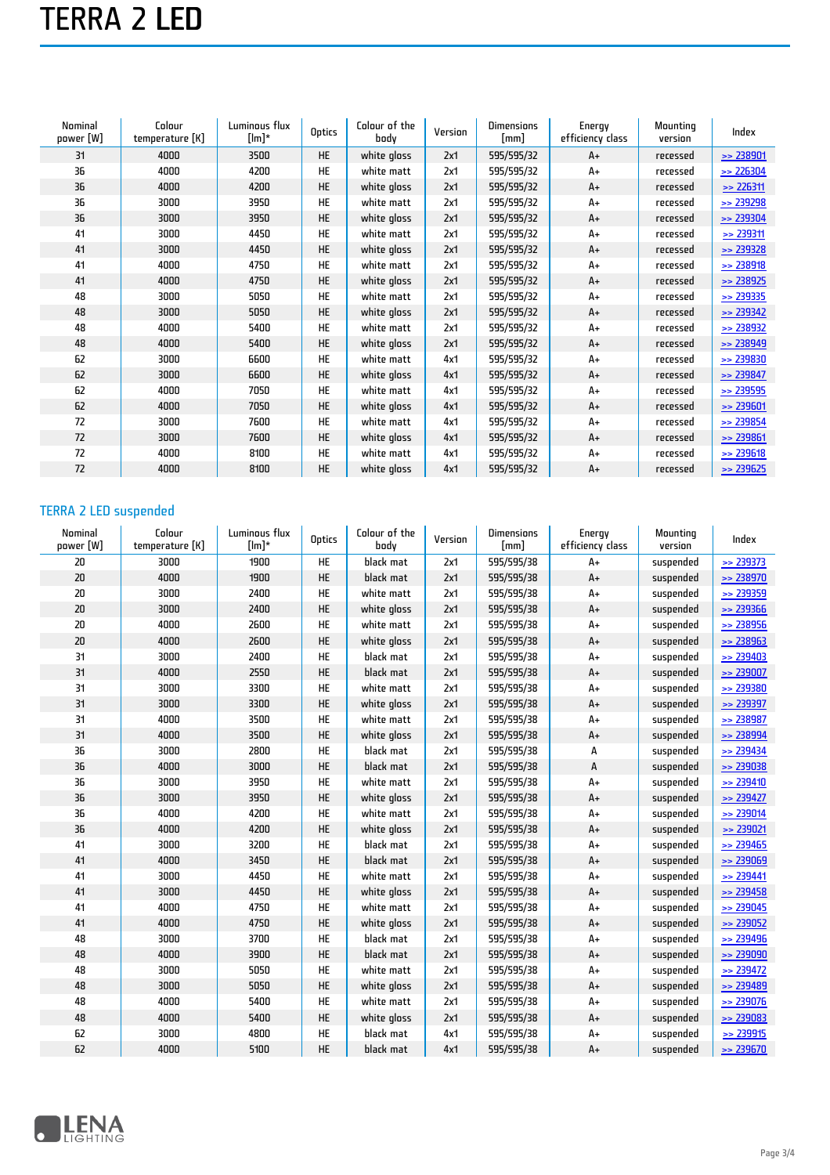# TERRA 2 LED

| Nominal<br>power [W] | Colour<br>temperature [K] | Luminous flux<br>$[Im]^*$ | Optics    | Colour of the<br>body | Version | <b>Dimensions</b><br>$\lceil mm \rceil$ | Energy<br>efficiency class | Mountina<br>version | Index         |
|----------------------|---------------------------|---------------------------|-----------|-----------------------|---------|-----------------------------------------|----------------------------|---------------------|---------------|
| 31                   | 4000                      | 3500                      | <b>HE</b> | white gloss           | 2x1     | 595/595/32                              | $A+$                       | recessed            | $\ge$ 238901  |
| 36                   | 4000                      | 4200                      | <b>HE</b> | white matt            | 2x1     | 595/595/32                              | A+                         | recessed            | $\gg$ 226304  |
| 36                   | 4000                      | 4200                      | <b>HE</b> | white gloss           | 2x1     | 595/595/32                              | A+                         | recessed            | $\ge$ 226311  |
| 36                   | 3000                      | 3950                      | <b>HE</b> | white matt            | 2x1     | 595/595/32                              | A+                         | recessed            | $\gg$ 239298  |
| 36                   | 3000                      | 3950                      | <b>HE</b> | white gloss           | 2x1     | 595/595/32                              | $A+$                       | recessed            | $\gg$ 239304  |
| 41                   | 3000                      | 4450                      | <b>HE</b> | white matt            | 2x1     | 595/595/32                              | A+                         | recessed            | $\ge$ 239311  |
| 41                   | 3000                      | 4450                      | <b>HE</b> | white gloss           | 2x1     | 595/595/32                              | $A+$                       | recessed            | $\ge$ 239328  |
| 41                   | 4000                      | 4750                      | <b>HE</b> | white matt            | 2x1     | 595/595/32                              | $A+$                       | recessed            | > 238918      |
| 41                   | 4000                      | 4750                      | <b>HE</b> | white gloss           | 2x1     | 595/595/32                              | $A+$                       | recessed            | $\ge$ 238925  |
| 48                   | 3000                      | 5050                      | <b>HE</b> | white matt            | 2x1     | 595/595/32                              | A+                         | recessed            | $\ge$ 239335  |
| 48                   | 3000                      | 5050                      | <b>HE</b> | white gloss           | 2x1     | 595/595/32                              | $A+$                       | recessed            | $\ge$ 239342  |
| 48                   | 4000                      | 5400                      | <b>HE</b> | white matt            | 2x1     | 595/595/32                              | A+                         | recessed            | $\ge$ 238932  |
| 48                   | 4000                      | 5400                      | <b>HE</b> | white gloss           | 2x1     | 595/595/32                              | $A+$                       | recessed            | $\ge$ 238949  |
| 62                   | 3000                      | 6600                      | <b>HE</b> | white matt            | 4x1     | 595/595/32                              | A+                         | recessed            | $\ge$ 239830  |
| 62                   | 3000                      | 6600                      | <b>HE</b> | white gloss           | 4x1     | 595/595/32                              | $A+$                       | recessed            | $\ge$ 239847  |
| 62                   | 4000                      | 7050                      | <b>HE</b> | white matt            | 4x1     | 595/595/32                              | $A+$                       | recessed            | $\gg$ 239595  |
| 62                   | 4000                      | 7050                      | <b>HE</b> | white gloss           | 4x1     | 595/595/32                              | $A+$                       | recessed            | $\ge$ 239601  |
| 72                   | 3000                      | 7600                      | <b>HE</b> | white matt            | 4x1     | 595/595/32                              | A+                         | recessed            | $\geq$ 239854 |
| 72                   | 3000                      | 7600                      | <b>HE</b> | white gloss           | 4x1     | 595/595/32                              | $A+$                       | recessed            | $\ge$ 239861  |
| 72                   | 4000                      | 8100                      | <b>HE</b> | white matt            | 4x1     | 595/595/32                              | A+                         | recessed            | $\ge$ 239618  |
| 72                   | 4000                      | 8100                      | <b>HE</b> | white gloss           | 4x1     | 595/595/32                              | A+                         | recessed            | $\gg$ 239625  |

### TERRA 2 LED suspended

| Nominal<br>power [W] | Colour<br>temperature [K] | Luminous flux<br>$[Im]$ * | Optics    | Colour of the<br>body | Version | <b>Dimensions</b><br>[mm] | Energy<br>efficiency class | Mounting<br>version | Index         |
|----------------------|---------------------------|---------------------------|-----------|-----------------------|---------|---------------------------|----------------------------|---------------------|---------------|
| 20                   | 3000                      | 1900                      | HE        | black mat             | 2x1     | 595/595/38                | $A+$                       | suspended           | $\gg$ 239373  |
| 20                   | 4000                      | 1900                      | <b>HE</b> | black mat             | 2x1     | 595/595/38                | $A+$                       | suspended           | $\ge$ 238970  |
| 20                   | 3000                      | 2400                      | <b>HE</b> | white matt            | 2x1     | 595/595/38                | $A+$                       | suspended           | $\ge$ 239359  |
| 20                   | 3000                      | 2400                      | <b>HE</b> | white gloss           | 2x1     | 595/595/38                | $A+$                       | suspended           | $\ge$ 239366  |
| 20                   | 4000                      | 2600                      | <b>HE</b> | white matt            | 2x1     | 595/595/38                | A+                         | suspended           | $\ge$ 238956  |
| 20                   | 4000                      | 2600                      | <b>HE</b> | white gloss           | 2x1     | 595/595/38                | $A+$                       | suspended           | $\ge$ 238963  |
| 31                   | 3000                      | 2400                      | <b>HE</b> | black mat             | 2x1     | 595/595/38                | A+                         | suspended           | $\ge$ 239403  |
| 31                   | 4000                      | 2550                      | HE        | black mat             | 2x1     | 595/595/38                | $A+$                       | suspended           | $\ge$ 239007  |
| 31                   | 3000                      | 3300                      | <b>HE</b> | white matt            | 2x1     | 595/595/38                | $A+$                       | suspended           | $\ge$ 239380  |
| 31                   | 3000                      | 3300                      | <b>HE</b> | white gloss           | 2x1     | 595/595/38                | $A+$                       | suspended           | $\ge$ 239397  |
| 31                   | 4000                      | 3500                      | <b>HE</b> | white matt            | 2x1     | 595/595/38                | A+                         | suspended           | $\ge$ 238987  |
| 31                   | 4000                      | 3500                      | <b>HE</b> | white gloss           | 2x1     | 595/595/38                | $A+$                       | suspended           | $\ge$ 238994  |
| 36                   | 3000                      | 2800                      | <b>HE</b> | black mat             | 2x1     | 595/595/38                | А                          | suspended           | $\ge 239434$  |
| 36                   | 4000                      | 3000                      | <b>HE</b> | black mat             | 2x1     | 595/595/38                | А                          | suspended           | $\ge$ 239038  |
| 36                   | 3000                      | 3950                      | HE        | white matt            | 2x1     | 595/595/38                | A+                         | suspended           | $\ge$ 239410  |
| 36                   | 3000                      | 3950                      | <b>HE</b> | white gloss           | 2x1     | 595/595/38                | A+                         | suspended           | $\gg$ 239427  |
| 36                   | 4000                      | 4200                      | <b>HE</b> | white matt            | 2x1     | 595/595/38                | $A+$                       | suspended           | $\ge$ 239014  |
| 36                   | 4000                      | 4200                      | <b>HE</b> | white gloss           | 2x1     | 595/595/38                | $A+$                       | suspended           | $\geq$ 239021 |
| 41                   | 3000                      | 3200                      | <b>HE</b> | black mat             | 2x1     | 595/595/38                | A+                         | suspended           | $\geq$ 239465 |
| 41                   | 4000                      | 3450                      | HE        | black mat             | 2x1     | 595/595/38                | A+                         | suspended           | $\ge$ 239069  |
| 41                   | 3000                      | 4450                      | <b>HE</b> | white matt            | 2x1     | 595/595/38                | A+                         | suspended           | $\gg$ 239441  |
| 41                   | 3000                      | 4450                      | <b>HE</b> | white gloss           | 2x1     | 595/595/38                | $A+$                       | suspended           | $\ge$ 239458  |
| 41                   | 4000                      | 4750                      | <b>HE</b> | white matt            | 2x1     | 595/595/38                | A+                         | suspended           | $\ge$ 239045  |
| 41                   | 4000                      | 4750                      | <b>HE</b> | white gloss           | 2x1     | 595/595/38                | $A+$                       | suspended           | $\ge$ 239052  |
| 48                   | 3000                      | 3700                      | HE        | black mat             | 2x1     | 595/595/38                | A+                         | suspended           | $\geq$ 239496 |
| 48                   | 4000                      | 3900                      | HE        | black mat             | 2x1     | 595/595/38                | $A+$                       | suspended           | $\ge$ 239090  |
| 48                   | 3000                      | 5050                      | <b>HE</b> | white matt            | 2x1     | 595/595/38                | A+                         | suspended           | $\ge$ 239472  |
| 48                   | 3000                      | 5050                      | <b>HE</b> | white gloss           | 2x1     | 595/595/38                | A+                         | suspended           | $\geq$ 239489 |
| 48                   | 4000                      | 5400                      | <b>HE</b> | white matt            | 2x1     | 595/595/38                | A+                         | suspended           | $\geq$ 239076 |
| 48                   | 4000                      | 5400                      | HE        | white gloss           | 2x1     | 595/595/38                | $A+$                       | suspended           | $\geq$ 239083 |
| 62                   | 3000                      | 4800                      | <b>HE</b> | black mat             | 4x1     | 595/595/38                | A+                         | suspended           | $\ge$ 239915  |
| 62                   | 4000                      | 5100                      | <b>HE</b> | black mat             | 4x1     | 595/595/38                | A+                         | suspended           | $\geq$ 239670 |